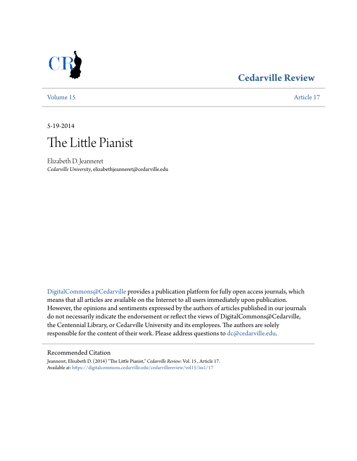## **[Cedarville Review](https://digitalcommons.cedarville.edu/cedarvillereview?utm_source=digitalcommons.cedarville.edu%2Fcedarvillereview%2Fvol15%2Fiss1%2F17&utm_medium=PDF&utm_campaign=PDFCoverPages)**



[Volume 15](https://digitalcommons.cedarville.edu/cedarvillereview/vol15?utm_source=digitalcommons.cedarville.edu%2Fcedarvillereview%2Fvol15%2Fiss1%2F17&utm_medium=PDF&utm_campaign=PDFCoverPages) [Article 17](https://digitalcommons.cedarville.edu/cedarvillereview/vol15/iss1/17?utm_source=digitalcommons.cedarville.edu%2Fcedarvillereview%2Fvol15%2Fiss1%2F17&utm_medium=PDF&utm_campaign=PDFCoverPages)

5-19-2014

# The Little Pianist

Elizabeth D. Jeanneret *Cedarville University*, elizabethjeanneret@cedarville.edu

[DigitalCommons@Cedarville](http://digitalcommons.cedarville.edu) provides a publication platform for fully open access journals, which means that all articles are available on the Internet to all users immediately upon publication. However, the opinions and sentiments expressed by the authors of articles published in our journals do not necessarily indicate the endorsement or reflect the views of DigitalCommons@Cedarville, the Centennial Library, or Cedarville University and its employees. The authors are solely responsible for the content of their work. Please address questions to [dc@cedarville.edu](mailto:dc@cedarville.edu).

#### Recommended Citation

Jeanneret, Elizabeth D. (2014) "The Little Pianist," *Cedarville Review*: Vol. 15 , Article 17. Available at: [https://digitalcommons.cedarville.edu/cedarvillereview/vol15/iss1/17](https://digitalcommons.cedarville.edu/cedarvillereview/vol15/iss1/17?utm_source=digitalcommons.cedarville.edu%2Fcedarvillereview%2Fvol15%2Fiss1%2F17&utm_medium=PDF&utm_campaign=PDFCoverPages)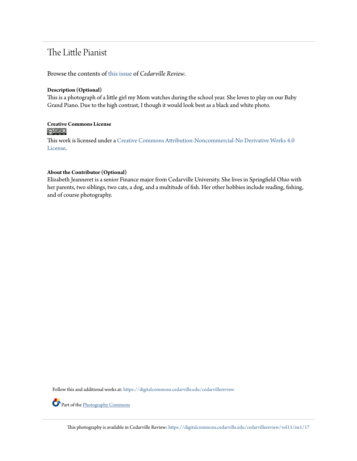## The Little Pianist

Browse the contents of [this issue](https://digitalcommons.cedarville.edu/cedarvillereview/vol15/iss1) of *Cedarville Review*.

#### **Description (Optional)**

This is a photograph of a little girl my Mom watches during the school year. She loves to play on our Baby Grand Piano. Due to the high contrast, I though it would look best as a black and white photo.

## Creative Commons License<br> **@ 089**

This work is licensed under a [Creative Commons Attribution-Noncommercial-No Derivative Works 4.0](http://creativecommons.org/licenses/by-nc-nd/4.0/) [License.](http://creativecommons.org/licenses/by-nc-nd/4.0/)

### **About the Contributor (Optional)**

Elizabeth Jeanneret is a senior Finance major from Cedarville University. She lives in Springfield Ohio with her parents, two siblings, two cats, a dog, and a multitude of fish. Her other hobbies include reading, fishing, and of course photography.

Follow this and additional works at: [https://digitalcommons.cedarville.edu/cedarvillereview](https://digitalcommons.cedarville.edu/cedarvillereview?utm_source=digitalcommons.cedarville.edu%2Fcedarvillereview%2Fvol15%2Fiss1%2F17&utm_medium=PDF&utm_campaign=PDFCoverPages)

Part of the [Photography Commons](http://network.bepress.com/hgg/discipline/1142?utm_source=digitalcommons.cedarville.edu%2Fcedarvillereview%2Fvol15%2Fiss1%2F17&utm_medium=PDF&utm_campaign=PDFCoverPages)